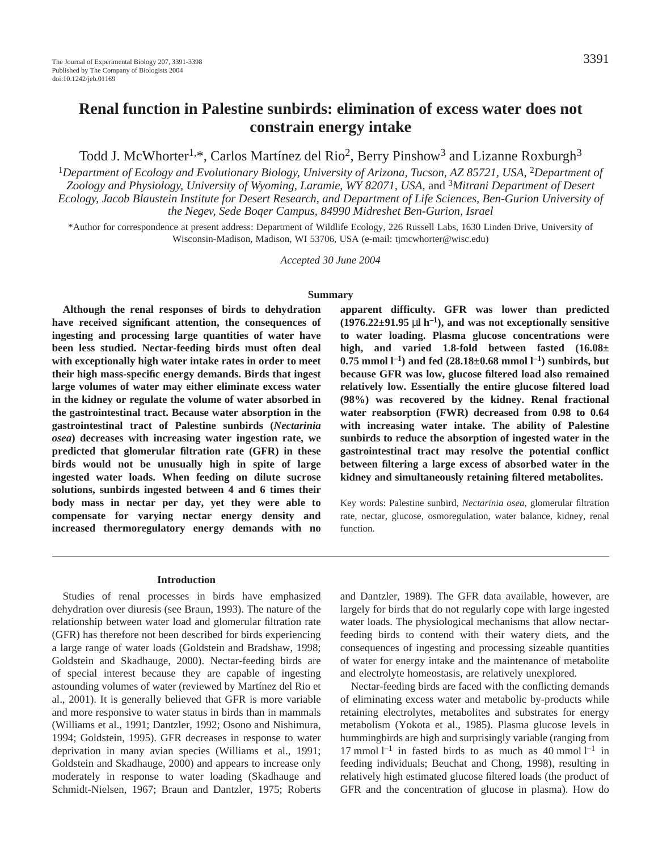# **Renal function in Palestine sunbirds: elimination of excess water does not constrain energy intake**

Todd J. McWhorter<sup>1,\*</sup>, Carlos Martínez del Rio<sup>2</sup>, Berry Pinshow<sup>3</sup> and Lizanne Roxburgh<sup>3</sup>

<sup>1</sup>*Department of Ecology and Evolutionary Biology, University of Arizona, Tucson, AZ 85721, USA*, 2*Department of Zoology and Physiology, University of Wyoming, Laramie, WY 82071, USA*, and <sup>3</sup>*Mitrani Department of Desert Ecology, Jacob Blaustein Institute for Desert Research, and Department of Life Sciences, Ben-Gurion University of the Negev, Sede Boqer Campus, 84990 Midreshet Ben-Gurion, Israel*

\*Author for correspondence at present address: Department of Wildlife Ecology, 226 Russell Labs, 1630 Linden Drive, University of Wisconsin-Madison, Madison, WI 53706, USA (e-mail: tjmcwhorter@wisc.edu)

*Accepted 30 June 2004*

#### **Summary**

**Although the renal responses of birds to dehydration have received significant attention, the consequences of ingesting and processing large quantities of water have been less studied. Nectar-feeding birds must often deal with exceptionally high water intake rates in order to meet their high mass-specific energy demands. Birds that ingest large volumes of water may either eliminate excess water in the kidney or regulate the volume of water absorbed in the gastrointestinal tract. Because water absorption in the gastrointestinal tract of Palestine sunbirds (***Nectarinia osea***) decreases with increasing water ingestion rate, we predicted that glomerular filtration rate (GFR) in these birds would not be unusually high in spite of large ingested water loads. When feeding on dilute sucrose solutions, sunbirds ingested between 4 and 6 times their body mass in nectar per day, yet they were able to compensate for varying nectar energy density and increased thermoregulatory energy demands with no**

**Introduction**

Studies of renal processes in birds have emphasized dehydration over diuresis (see Braun, 1993). The nature of the relationship between water load and glomerular filtration rate (GFR) has therefore not been described for birds experiencing a large range of water loads (Goldstein and Bradshaw, 1998; Goldstein and Skadhauge, 2000). Nectar-feeding birds are of special interest because they are capable of ingesting astounding volumes of water (reviewed by Martínez del Rio et al., 2001). It is generally believed that GFR is more variable and more responsive to water status in birds than in mammals (Williams et al., 1991; Dantzler, 1992; Osono and Nishimura, 1994; Goldstein, 1995). GFR decreases in response to water deprivation in many avian species (Williams et al., 1991; Goldstein and Skadhauge, 2000) and appears to increase only moderately in response to water loading (Skadhauge and Schmidt-Nielsen, 1967; Braun and Dantzler, 1975; Roberts

**apparent difficulty. GFR was lower than predicted**  $(1976.22 \pm 91.95 \,\mu\text{J} \cdot \text{h}^{-1})$ , and was not exceptionally sensitive **to water loading. Plasma glucose concentrations were high, and varied 1.8-fold between fasted (16.08±**  $0.75$  mmol  $l^{-1}$ ) and fed (28.18±0.68 mmol  $l^{-1}$ ) sunbirds, but **because GFR was low, glucose filtered load also remained relatively low. Essentially the entire glucose filtered load (98%) was recovered by the kidney. Renal fractional water reabsorption (FWR) decreased from 0.98 to 0.64 with increasing water intake. The ability of Palestine sunbirds to reduce the absorption of ingested water in the gastrointestinal tract may resolve the potential conflict between filtering a large excess of absorbed water in the kidney and simultaneously retaining filtered metabolites.**

Key words: Palestine sunbird, *Nectarinia osea*, glomerular filtration rate, nectar, glucose, osmoregulation, water balance, kidney, renal function.

and Dantzler, 1989). The GFR data available, however, are largely for birds that do not regularly cope with large ingested water loads. The physiological mechanisms that allow nectarfeeding birds to contend with their watery diets, and the consequences of ingesting and processing sizeable quantities of water for energy intake and the maintenance of metabolite and electrolyte homeostasis, are relatively unexplored.

Nectar-feeding birds are faced with the conflicting demands of eliminating excess water and metabolic by-products while retaining electrolytes, metabolites and substrates for energy metabolism (Yokota et al., 1985). Plasma glucose levels in hummingbirds are high and surprisingly variable (ranging from 17 mmol  $l^{-1}$  in fasted birds to as much as 40 mmol  $l^{-1}$  in feeding individuals; Beuchat and Chong, 1998), resulting in relatively high estimated glucose filtered loads (the product of GFR and the concentration of glucose in plasma). How do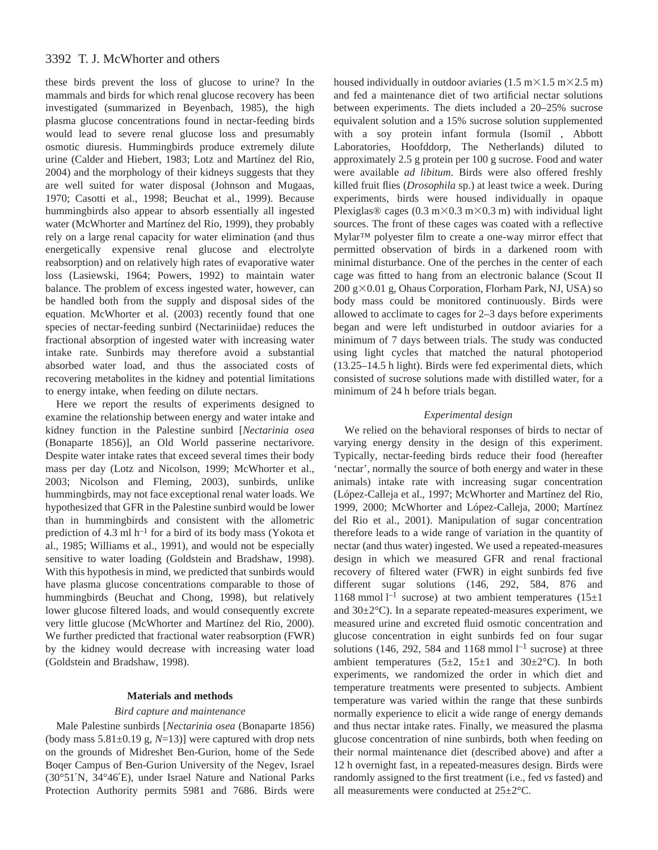# 3392 T. J. McWhorter and others

these birds prevent the loss of glucose to urine? In the mammals and birds for which renal glucose recovery has been investigated (summarized in Beyenbach, 1985), the high plasma glucose concentrations found in nectar-feeding birds would lead to severe renal glucose loss and presumably osmotic diuresis. Hummingbirds produce extremely dilute urine (Calder and Hiebert, 1983; Lotz and Martínez del Rio, 2004) and the morphology of their kidneys suggests that they are well suited for water disposal (Johnson and Mugaas, 1970; Casotti et al., 1998; Beuchat et al., 1999). Because hummingbirds also appear to absorb essentially all ingested water (McWhorter and Martínez del Rio, 1999), they probably rely on a large renal capacity for water elimination (and thus energetically expensive renal glucose and electrolyte reabsorption) and on relatively high rates of evaporative water loss (Lasiewski, 1964; Powers, 1992) to maintain water balance. The problem of excess ingested water, however, can be handled both from the supply and disposal sides of the equation. McWhorter et al. (2003) recently found that one species of nectar-feeding sunbird (Nectariniidae) reduces the fractional absorption of ingested water with increasing water intake rate. Sunbirds may therefore avoid a substantial absorbed water load, and thus the associated costs of recovering metabolites in the kidney and potential limitations to energy intake, when feeding on dilute nectars.

Here we report the results of experiments designed to examine the relationship between energy and water intake and kidney function in the Palestine sunbird [*Nectarinia osea* (Bonaparte 1856)], an Old World passerine nectarivore. Despite water intake rates that exceed several times their body mass per day (Lotz and Nicolson, 1999; McWhorter et al., 2003; Nicolson and Fleming, 2003), sunbirds, unlike hummingbirds, may not face exceptional renal water loads. We hypothesized that GFR in the Palestine sunbird would be lower than in hummingbirds and consistent with the allometric prediction of 4.3 ml  $h^{-1}$  for a bird of its body mass (Yokota et al., 1985; Williams et al., 1991), and would not be especially sensitive to water loading (Goldstein and Bradshaw, 1998). With this hypothesis in mind, we predicted that sunbirds would have plasma glucose concentrations comparable to those of hummingbirds (Beuchat and Chong, 1998), but relatively lower glucose filtered loads, and would consequently excrete very little glucose (McWhorter and Martínez del Rio, 2000). We further predicted that fractional water reabsorption (FWR) by the kidney would decrease with increasing water load (Goldstein and Bradshaw, 1998).

#### **Materials and methods**

#### *Bird capture and maintenance*

Male Palestine sunbirds [*Nectarinia osea* (Bonaparte 1856) (body mass  $5.81\pm0.19$  g,  $N=13$ )] were captured with drop nets on the grounds of Midreshet Ben-Gurion, home of the Sede Boqer Campus of Ben-Gurion University of the Negev, Israel (30°51′N, 34°46′E), under Israel Nature and National Parks Protection Authority permits 5981 and 7686. Birds were housed individually in outdoor aviaries (1.5 m $\times$ 1.5 m $\times$ 2.5 m) and fed a maintenance diet of two artificial nectar solutions between experiments. The diets included a 20–25% sucrose equivalent solution and a 15% sucrose solution supplemented with a soy protein infant formula (Isomil<sup>TM</sup>, Abbott Laboratories, Hoofddorp, The Netherlands) diluted to approximately 2.5 g protein per 100 g sucrose. Food and water were available *ad libitum*. Birds were also offered freshly killed fruit flies (*Drosophila* sp.) at least twice a week. During experiments, birds were housed individually in opaque Plexiglas® cages (0.3 m×0.3 m×0.3 m) with individual light sources. The front of these cages was coated with a reflective Mylar™ polyester film to create a one-way mirror effect that permitted observation of birds in a darkened room with minimal disturbance. One of the perches in the center of each cage was fitted to hang from an electronic balance (Scout II  $200~g \times 0.01~g$ , Ohaus Corporation, Florham Park, NJ, USA) so body mass could be monitored continuously. Birds were allowed to acclimate to cages for 2–3 days before experiments began and were left undisturbed in outdoor aviaries for a minimum of 7 days between trials. The study was conducted using light cycles that matched the natural photoperiod (13.25–14.5 h light). Birds were fed experimental diets, which consisted of sucrose solutions made with distilled water, for a minimum of 24 h before trials began.

#### *Experimental design*

We relied on the behavioral responses of birds to nectar of varying energy density in the design of this experiment. Typically, nectar-feeding birds reduce their food (hereafter 'nectar', normally the source of both energy and water in these animals) intake rate with increasing sugar concentration (López-Calleja et al., 1997; McWhorter and Martínez del Rio, 1999, 2000; McWhorter and López-Calleja, 2000; Martínez del Rio et al., 2001). Manipulation of sugar concentration therefore leads to a wide range of variation in the quantity of nectar (and thus water) ingested. We used a repeated-measures design in which we measured GFR and renal fractional recovery of filtered water (FWR) in eight sunbirds fed five different sugar solutions (146, 292, 584, 876 and 1168 mmol<sup>1-1</sup> sucrose) at two ambient temperatures  $(15±1)$ and 30±2°C). In a separate repeated-measures experiment, we measured urine and excreted fluid osmotic concentration and glucose concentration in eight sunbirds fed on four sugar solutions (146, 292, 584 and 1168 mmol  $l<sup>-1</sup>$  sucrose) at three ambient temperatures  $(5\pm 2, 15\pm 1)$  and  $30\pm 2^{\circ}$ C). In both experiments, we randomized the order in which diet and temperature treatments were presented to subjects. Ambient temperature was varied within the range that these sunbirds normally experience to elicit a wide range of energy demands and thus nectar intake rates. Finally, we measured the plasma glucose concentration of nine sunbirds, both when feeding on their normal maintenance diet (described above) and after a 12 h overnight fast, in a repeated-measures design. Birds were randomly assigned to the first treatment (i.e., fed *vs* fasted) and all measurements were conducted at 25±2°C.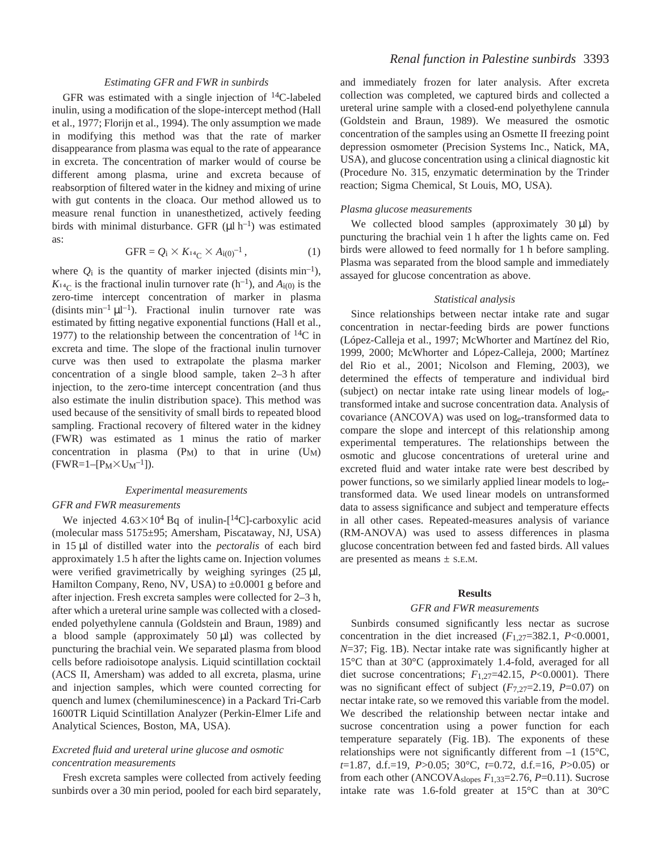# *Estimating GFR and FWR in sunbirds*

GFR was estimated with a single injection of 14C-labeled inulin, using a modification of the slope-intercept method (Hall et al., 1977; Florijn et al., 1994). The only assumption we made in modifying this method was that the rate of marker disappearance from plasma was equal to the rate of appearance in excreta. The concentration of marker would of course be different among plasma, urine and excreta because of reabsorption of filtered water in the kidney and mixing of urine with gut contents in the cloaca. Our method allowed us to measure renal function in unanesthetized, actively feeding birds with minimal disturbance. GFR ( $\mu$ l h<sup>-1</sup>) was estimated as:

$$
GFR = Q_i \times K_{^{14}C} \times A_{i(0)}^{-1}, \qquad (1)
$$

where  $Q_i$  is the quantity of marker injected (disints min<sup>-1</sup>),  $K_{14}$  is the fractional inulin turnover rate (h<sup>-1</sup>), and  $A_{i(0)}$  is the zero-time intercept concentration of marker in plasma (disints min<sup>-1</sup>  $\mu$ l<sup>-1</sup>). Fractional inulin turnover rate was estimated by fitting negative exponential functions (Hall et al., 1977) to the relationship between the concentration of  $^{14}C$  in excreta and time. The slope of the fractional inulin turnover curve was then used to extrapolate the plasma marker concentration of a single blood sample, taken  $2-3h$  after injection, to the zero-time intercept concentration (and thus also estimate the inulin distribution space). This method was used because of the sensitivity of small birds to repeated blood sampling. Fractional recovery of filtered water in the kidney (FWR) was estimated as 1 minus the ratio of marker concentration in plasma  $(P_M)$  to that in urine  $(U_M)$  $(FWR=1-[P_M\times U_M^{-1}]).$ 

## *Experimental measurements*

#### *GFR and FWR measurements*

We injected  $4.63\times10^4$  Bq of inulin-[<sup>14</sup>C]-carboxylic acid (molecular mass 5175±95; Amersham, Piscataway, NJ, USA) in 15 µl of distilled water into the *pectoralis* of each bird approximately 1.5 h after the lights came on. Injection volumes were verified gravimetrically by weighing syringes  $(25 \mu I,$ Hamilton Company, Reno, NV, USA) to  $\pm 0.0001$  g before and after injection. Fresh excreta samples were collected for 2–3 h, after which a ureteral urine sample was collected with a closedended polyethylene cannula (Goldstein and Braun, 1989) and a blood sample (approximately  $50 \mu l$ ) was collected by puncturing the brachial vein. We separated plasma from blood cells before radioisotope analysis. Liquid scintillation cocktail (ACS II, Amersham) was added to all excreta, plasma, urine and injection samples, which were counted correcting for quench and lumex (chemiluminescence) in a Packard Tri-Carb 1600TR Liquid Scintillation Analyzer (Perkin-Elmer Life and Analytical Sciences, Boston, MA, USA).

# *Excreted fluid and ureteral urine glucose and osmotic concentration measurements*

Fresh excreta samples were collected from actively feeding sunbirds over a 30 min period, pooled for each bird separately, and immediately frozen for later analysis. After excreta collection was completed, we captured birds and collected a ureteral urine sample with a closed-end polyethylene cannula (Goldstein and Braun, 1989). We measured the osmotic concentration of the samples using an Osmette II freezing point depression osmometer (Precision Systems Inc., Natick, MA, USA), and glucose concentration using a clinical diagnostic kit (Procedure No. 315, enzymatic determination by the Trinder reaction; Sigma Chemical, St Louis, MO, USA).

#### *Plasma glucose measurements*

We collected blood samples (approximately  $30 \mu l$ ) by puncturing the brachial vein 1 h after the lights came on. Fed birds were allowed to feed normally for 1 h before sampling. Plasma was separated from the blood sample and immediately assayed for glucose concentration as above.

#### *Statistical analysis*

Since relationships between nectar intake rate and sugar concentration in nectar-feeding birds are power functions (López-Calleja et al., 1997; McWhorter and Martínez del Rio, 1999, 2000; McWhorter and López-Calleja, 2000; Martínez del Rio et al., 2001; Nicolson and Fleming, 2003), we determined the effects of temperature and individual bird (subject) on nectar intake rate using linear models of logetransformed intake and sucrose concentration data. Analysis of covariance (ANCOVA) was used on loge-transformed data to compare the slope and intercept of this relationship among experimental temperatures. The relationships between the osmotic and glucose concentrations of ureteral urine and excreted fluid and water intake rate were best described by power functions, so we similarly applied linear models to logetransformed data. We used linear models on untransformed data to assess significance and subject and temperature effects in all other cases. Repeated-measures analysis of variance (RM-ANOVA) was used to assess differences in plasma glucose concentration between fed and fasted birds. All values are presented as means ± S.E.M.

# **Results**

#### *GFR and FWR measurements*

Sunbirds consumed significantly less nectar as sucrose concentration in the diet increased  $(F_{1,27}=382.1, P<0.0001,$  $N=37$ ; Fig. 1B). Nectar intake rate was significantly higher at 15°C than at 30°C (approximately 1.4-fold, averaged for all diet sucrose concentrations;  $F_{1,27}=42.15$ ,  $P<0.0001$ ). There was no significant effect of subject (*F*7,27=2.19, *P*=0.07) on nectar intake rate, so we removed this variable from the model. We described the relationship between nectar intake and sucrose concentration using a power function for each temperature separately (Fig. 1B). The exponents of these relationships were not significantly different from  $-1$  (15 $\degree$ C, *t*=1.87, d.f.=19, *P*>0.05; 30°C, *t*=0.72, d.f.=16, *P*>0.05) or from each other (ANCOVAslopes *F*1,33=2.76, *P*=0.11). Sucrose intake rate was 1.6-fold greater at 15°C than at 30°C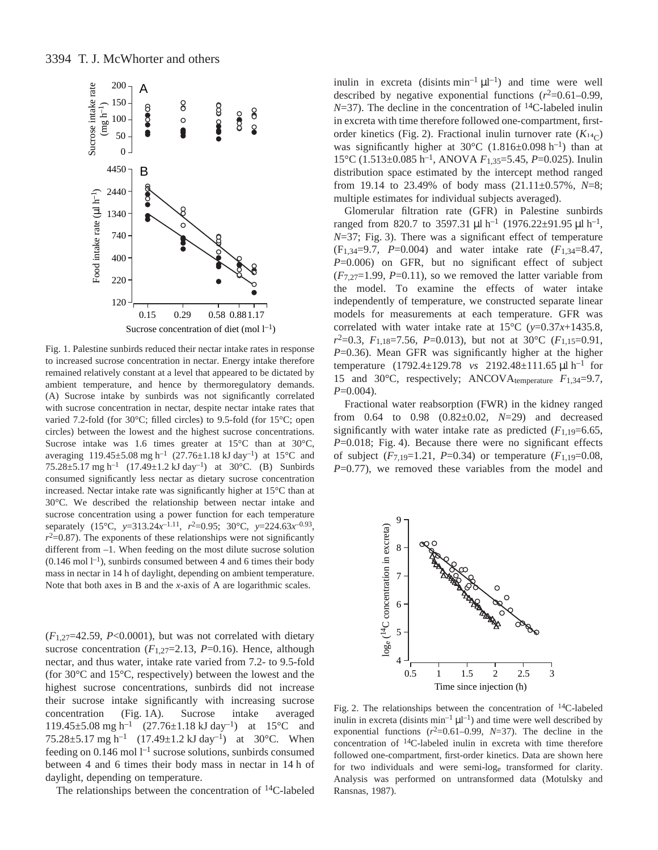

Fig. 1. Palestine sunbirds reduced their nectar intake rates in response to increased sucrose concentration in nectar. Energy intake therefore remained relatively constant at a level that appeared to be dictated by ambient temperature, and hence by thermoregulatory demands. (A) Sucrose intake by sunbirds was not significantly correlated with sucrose concentration in nectar, despite nectar intake rates that varied 7.2-fold (for 30°C; filled circles) to 9.5-fold (for 15°C; open circles) between the lowest and the highest sucrose concentrations. Sucrose intake was 1.6 times greater at 15°C than at 30°C, averaging  $119.45\pm5.08$  mg h<sup>-1</sup> (27.76 $\pm1.18$  kJ day<sup>-1</sup>) at 15°C and 75.28 $\pm$ 5.17 mg h<sup>-1</sup> (17.49 $\pm$ 1.2 kJ day<sup>-1</sup>) at 30°C. (B) Sunbirds consumed significantly less nectar as dietary sucrose concentration increased. Nectar intake rate was significantly higher at 15°C than at 30°C. We described the relationship between nectar intake and sucrose concentration using a power function for each temperature separately (15°C, *y*=313.24*x*–1.11, *r*2=0.95; 30°C, *y*=224.63*x*–0.93,  $r^2$ =0.87). The exponents of these relationships were not significantly different from –1. When feeding on the most dilute sucrose solution  $(0.146 \text{ mol } l^{-1})$ , sunbirds consumed between 4 and 6 times their body mass in nectar in 14 h of daylight, depending on ambient temperature. Note that both axes in B and the *x*-axis of A are logarithmic scales.

 $(F_{1,27}=42.59, P<0.0001)$ , but was not correlated with dietary sucrose concentration  $(F_{1,27}=2.13, P=0.16)$ . Hence, although nectar, and thus water, intake rate varied from 7.2- to 9.5-fold (for 30°C and 15°C, respectively) between the lowest and the highest sucrose concentrations, sunbirds did not increase their sucrose intake significantly with increasing sucrose concentration (Fig. 1A). Sucrose intake averaged 119.45±5.08 mg h<sup>-1</sup>  $(27.76\pm1.18 \text{ kJ day}^{-1})$  at 15°C and 75.28 $\pm$ 5.17 mg h<sup>-1</sup> (17.49 $\pm$ 1.2 kJ day<sup>-1</sup>) at 30°C. When feeding on  $0.146$  mol  $l^{-1}$  sucrose solutions, sunbirds consumed between 4 and 6 times their body mass in nectar in 14 h of daylight, depending on temperature.

The relationships between the concentration of 14C-labeled

inulin in excreta (disints  $min^{-1} \mu l^{-1}$ ) and time were well described by negative exponential functions  $(r^2=0.61-0.99)$ ,  $N=37$ ). The decline in the concentration of <sup>14</sup>C-labeled inulin in excreta with time therefore followed one-compartment, firstorder kinetics (Fig. 2). Fractional inulin turnover rate  $(K_{14}C)$ was significantly higher at  $30^{\circ}$ C (1.816±0.098 h<sup>-1</sup>) than at 15°C (1.513±0.085·h–1, ANOVA *F*1,35=5.45, *P*=0.025). Inulin distribution space estimated by the intercept method ranged from 19.14 to 23.49% of body mass (21.11±0.57%, *N*=8; multiple estimates for individual subjects averaged).

Glomerular filtration rate (GFR) in Palestine sunbirds ranged from 820.7 to 3597.31  $\mu$ l h<sup>-1</sup> (1976.22±91.95  $\mu$ l h<sup>-1</sup>, *N*=37; Fig. 3). There was a significant effect of temperature (F1,34=9.7, *P*=0.004) and water intake rate (*F*1,34=8.47, *P*=0.006) on GFR, but no significant effect of subject  $(F_{7,27}=1.99, P=0.11)$ , so we removed the latter variable from the model. To examine the effects of water intake independently of temperature, we constructed separate linear models for measurements at each temperature. GFR was correlated with water intake rate at  $15^{\circ}$ C (*y*=0.37*x*+1435.8, *r*2=0.3, *F*1,18=7.56, *P*=0.013), but not at 30°C (*F*1,15=0.91, *P*=0.36). Mean GFR was significantly higher at the higher temperature (1792.4±129.78 *vs* 2192.48±111.65 µl h<sup>-1</sup> for 15 and 30°C, respectively; ANCOVAtemperature *F*1,34=9.7, *P*=0.004).

Fractional water reabsorption (FWR) in the kidney ranged from 0.64 to 0.98 (0.82±0.02, *N*=29) and decreased significantly with water intake rate as predicted  $(F_{1,19}=6.65,$ *P*=0.018; Fig. 4). Because there were no significant effects of subject  $(F_{7,19}=1.21, P=0.34)$  or temperature  $(F_{1,19}=0.08,$ *P*=0.77), we removed these variables from the model and



Fig. 2. The relationships between the concentration of  $^{14}$ C-labeled inulin in excreta (disints  $min^{-1} \mu l^{-1}$ ) and time were well described by exponential functions  $(r^2=0.61-0.99, N=37)$ . The decline in the concentration of 14C-labeled inulin in excreta with time therefore followed one-compartment, first-order kinetics. Data are shown here for two individuals and were semi-loge transformed for clarity. Analysis was performed on untransformed data (Motulsky and Ransnas, 1987).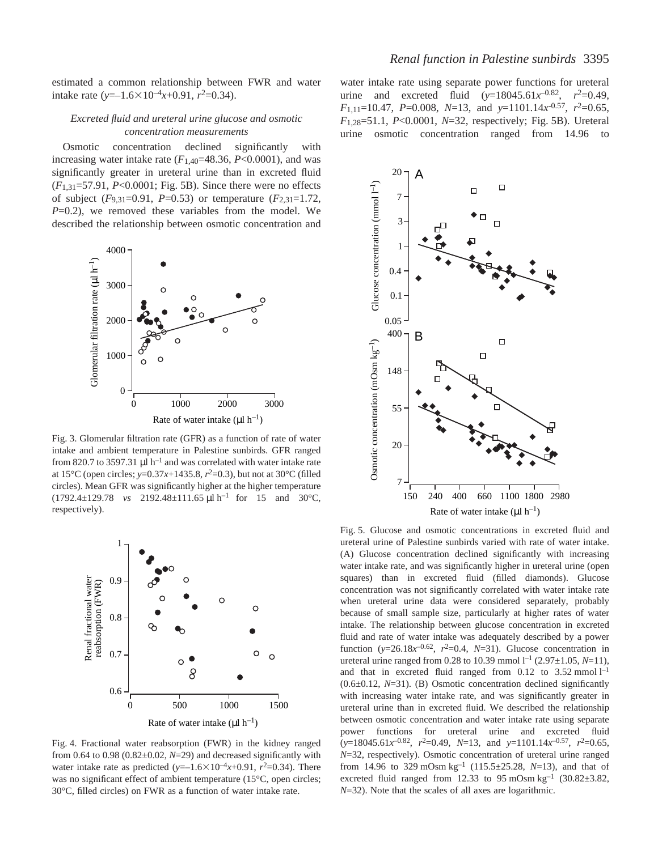estimated a common relationship between FWR and water intake rate ( $y=-1.6\times10^{-4}x+0.91$ ,  $r^2=0.34$ ).

# *Excreted fluid and ureteral urine glucose and osmotic concentration measurements*

Osmotic concentration declined significantly with increasing water intake rate  $(F_{1,40} = 48.36, P < 0.0001)$ , and was significantly greater in ureteral urine than in excreted fluid  $(F_{1,31}=57.91, P<0.0001; Fig. 5B)$ . Since there were no effects of subject (*F*9,31=0.91, *P*=0.53) or temperature (*F*2,31=1.72, *P*=0.2), we removed these variables from the model. We described the relationship between osmotic concentration and



Fig. 3. Glomerular filtration rate (GFR) as a function of rate of water intake and ambient temperature in Palestine sunbirds. GFR ranged from 820.7 to 3597.31  $\mu$ l h<sup>-1</sup> and was correlated with water intake rate at 15°C (open circles; *y*=0.37*x*+1435.8,  $r^2$ =0.3), but not at 30°C (filled circles). Mean GFR was significantly higher at the higher temperature  $(1792.4 \pm 129.78$  *vs* 2192.48 $\pm$ 111.65  $\mu$ l h<sup>-1</sup> for 15 and 30°C, respectively).



Fig. 4. Fractional water reabsorption (FWR) in the kidney ranged from  $0.64$  to  $0.98$   $(0.82 \pm 0.02, N = 29)$  and decreased significantly with water intake rate as predicted  $(y=-1.6\times10^{-4}x+0.91, r^2=0.34)$ . There was no significant effect of ambient temperature (15°C, open circles; 30°C, filled circles) on FWR as a function of water intake rate.

water intake rate using separate power functions for ureteral urine and excreted fluid  $(y=18045.61x^{-0.82}, r^2=0.49,$ *F*1,11=10.47, *P*=0.008, *N*=13, and *y*=1101.14*x*-0.57, *r*2=0.65, *F*<sub>1,28</sub>=51.1, *P*<0,0001, *N*=32, respectively; Fig. 5B). Ureteral urine osmotic concentration ranged from 14.96 to



Fig. 5. Glucose and osmotic concentrations in excreted fluid and ureteral urine of Palestine sunbirds varied with rate of water intake. (A) Glucose concentration declined significantly with increasing water intake rate, and was significantly higher in ureteral urine (open squares) than in excreted fluid (filled diamonds). Glucose concentration was not significantly correlated with water intake rate when ureteral urine data were considered separately, probably because of small sample size, particularly at higher rates of water intake. The relationship between glucose concentration in excreted fluid and rate of water intake was adequately described by a power function ( $y=26.18x^{-0.62}$ ,  $r^2=0.4$ ,  $N=31$ ). Glucose concentration in ureteral urine ranged from 0.28 to 10.39 mmol  $l^{-1}$  (2.97 $\pm$ 1.05, N=11), and that in excreted fluid ranged from  $0.12$  to  $3.52$  mmol  $l<sup>-1</sup>$ (0.6±0.12, *N*=31). (B) Osmotic concentration declined significantly with increasing water intake rate, and was significantly greater in ureteral urine than in excreted fluid. We described the relationship between osmotic concentration and water intake rate using separate power functions for ureteral urine and excreted fluid  $(y=18045.61x^{-0.82}, r^2=0.49, N=13, \text{ and } y=1101.14x^{-0.57}, r^2=0.65,$ *N*=32, respectively). Osmotic concentration of ureteral urine ranged from 14.96 to 329 mOsm kg<sup>-1</sup> (115.5±25.28, *N*=13), and that of excreted fluid ranged from 12.33 to 95 mOsm  $kg^{-1}$  (30.82 $\pm$ 3.82, *N*=32). Note that the scales of all axes are logarithmic.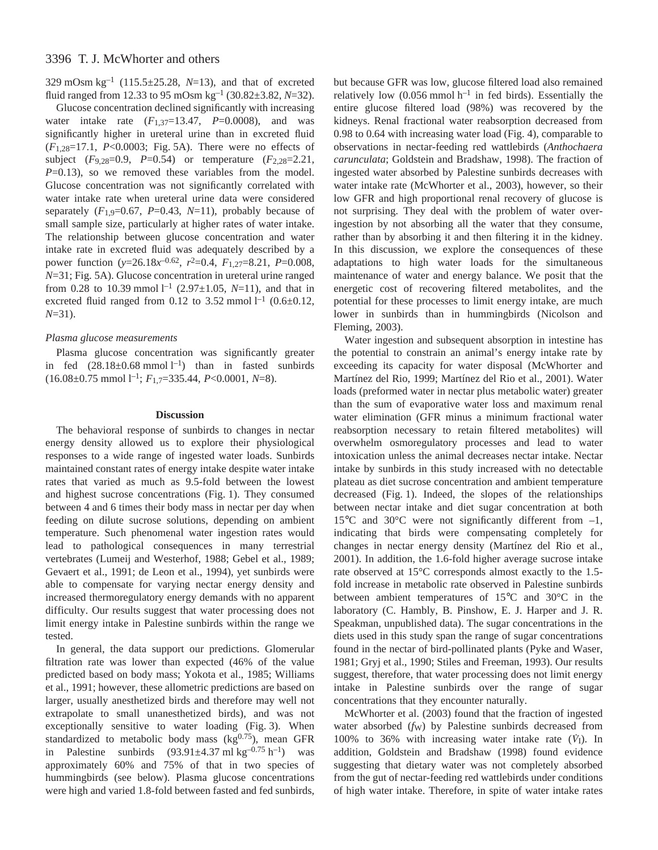329 mOsm  $kg^{-1}$  (115.5±25.28, *N*=13), and that of excreted fluid ranged from 12.33 to 95 mOsm  $kg^{-1}$  (30.82 $\pm$ 3.82, *N*=32).

Glucose concentration declined significantly with increasing water intake rate  $(F_{1,37}=13.47, P=0.0008)$ , and was significantly higher in ureteral urine than in excreted fluid  $(F_{1,28}=17.1, P<0.0003;$  Fig. 5A). There were no effects of subject (*F*9,28=0.9, *P*=0.54) or temperature (*F*2,28=2.21, *P*=0.13), so we removed these variables from the model. Glucose concentration was not significantly correlated with water intake rate when ureteral urine data were considered separately  $(F_{1,9}=0.67, P=0.43, N=11)$ , probably because of small sample size, particularly at higher rates of water intake. The relationship between glucose concentration and water intake rate in excreted fluid was adequately described by a power function (*y*=26.18*x*–0.62, *r*2=0.4, *F*1,27=8.21, *P*=0.008, *N*=31; Fig. 5A). Glucose concentration in ureteral urine ranged from 0.28 to 10.39 mmol<sup> $1^{-1}$ </sup> (2.97 $\pm$ 1.05, N=11), and that in excreted fluid ranged from 0.12 to 3.52 mmol  $l^{-1}$  (0.6 $\pm$ 0.12, *N*=31).

## *Plasma glucose measurements*

Plasma glucose concentration was significantly greater in fed  $(28.18\pm0.68 \text{ mmol l}^{-1})$  than in fasted sunbirds  $(16.08 \pm 0.75 \text{ mmol l}^{-1}; F_{1,7} = 335.44, P < 0.0001, N = 8).$ 

#### **Discussion**

The behavioral response of sunbirds to changes in nectar energy density allowed us to explore their physiological responses to a wide range of ingested water loads. Sunbirds maintained constant rates of energy intake despite water intake rates that varied as much as 9.5-fold between the lowest and highest sucrose concentrations (Fig. 1). They consumed between 4 and 6 times their body mass in nectar per day when feeding on dilute sucrose solutions, depending on ambient temperature. Such phenomenal water ingestion rates would lead to pathological consequences in many terrestrial vertebrates (Lumeij and Westerhof, 1988; Gebel et al., 1989; Gevaert et al., 1991; de Leon et al., 1994), yet sunbirds were able to compensate for varying nectar energy density and increased thermoregulatory energy demands with no apparent difficulty. Our results suggest that water processing does not limit energy intake in Palestine sunbirds within the range we tested.

In general, the data support our predictions. Glomerular filtration rate was lower than expected (46% of the value predicted based on body mass; Yokota et al., 1985; Williams et al., 1991; however, these allometric predictions are based on larger, usually anesthetized birds and therefore may well not extrapolate to small unanesthetized birds), and was not exceptionally sensitive to water loading (Fig. 3). When standardized to metabolic body mass  $(kg^{0.75})$ , mean GFR in Palestine sunbirds  $(93.91 \pm 4.37 \text{ ml kg}^{-0.75} \text{ h}^{-1})$  was approximately 60% and 75% of that in two species of hummingbirds (see below). Plasma glucose concentrations were high and varied 1.8-fold between fasted and fed sunbirds,

but because GFR was low, glucose filtered load also remained relatively low (0.056 mmol  $h^{-1}$  in fed birds). Essentially the entire glucose filtered load (98%) was recovered by the kidneys. Renal fractional water reabsorption decreased from 0.98 to 0.64 with increasing water load (Fig. 4), comparable to observations in nectar-feeding red wattlebirds (*Anthochaera carunculata*; Goldstein and Bradshaw, 1998). The fraction of ingested water absorbed by Palestine sunbirds decreases with water intake rate (McWhorter et al., 2003), however, so their low GFR and high proportional renal recovery of glucose is not surprising. They deal with the problem of water overingestion by not absorbing all the water that they consume, rather than by absorbing it and then filtering it in the kidney. In this discussion, we explore the consequences of these adaptations to high water loads for the simultaneous maintenance of water and energy balance. We posit that the energetic cost of recovering filtered metabolites, and the potential for these processes to limit energy intake, are much lower in sunbirds than in hummingbirds (Nicolson and Fleming, 2003).

Water ingestion and subsequent absorption in intestine has the potential to constrain an animal's energy intake rate by exceeding its capacity for water disposal (McWhorter and Martínez del Rio, 1999; Martínez del Rio et al., 2001). Water loads (preformed water in nectar plus metabolic water) greater than the sum of evaporative water loss and maximum renal water elimination (GFR minus a minimum fractional water reabsorption necessary to retain filtered metabolites) will overwhelm osmoregulatory processes and lead to water intoxication unless the animal decreases nectar intake. Nectar intake by sunbirds in this study increased with no detectable plateau as diet sucrose concentration and ambient temperature decreased (Fig. 1). Indeed, the slopes of the relationships between nectar intake and diet sugar concentration at both 15°C and 30°C were not significantly different from –1, indicating that birds were compensating completely for changes in nectar energy density (Martínez del Rio et al., 2001). In addition, the 1.6-fold higher average sucrose intake rate observed at 15°C corresponds almost exactly to the 1.5 fold increase in metabolic rate observed in Palestine sunbirds between ambient temperatures of 15°C and 30°C in the laboratory (C. Hambly, B. Pinshow, E. J. Harper and J. R. Speakman, unpublished data). The sugar concentrations in the diets used in this study span the range of sugar concentrations found in the nectar of bird-pollinated plants (Pyke and Waser, 1981; Gryj et al., 1990; Stiles and Freeman, 1993). Our results suggest, therefore, that water processing does not limit energy intake in Palestine sunbirds over the range of sugar concentrations that they encounter naturally.

McWhorter et al. (2003) found that the fraction of ingested water absorbed (*fw*) by Palestine sunbirds decreased from 100% to 36% with increasing water intake rate  $(V<sub>I</sub>)$ . In addition, Goldstein and Bradshaw (1998) found evidence suggesting that dietary water was not completely absorbed from the gut of nectar-feeding red wattlebirds under conditions of high water intake. Therefore, in spite of water intake rates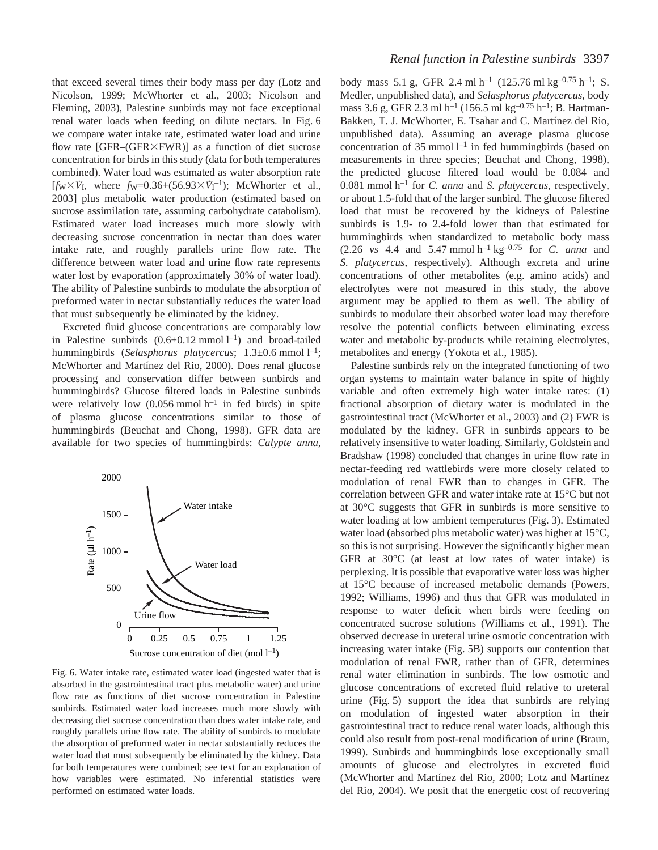that exceed several times their body mass per day (Lotz and Nicolson, 1999; McWhorter et al., 2003; Nicolson and Fleming, 2003), Palestine sunbirds may not face exceptional renal water loads when feeding on dilute nectars. In Fig. 6 we compare water intake rate, estimated water load and urine flow rate  $[GFR-(GFR\times FWR)]$  as a function of diet sucrose concentration for birds in this study (data for both temperatures combined). Water load was estimated as water absorption rate  $[f_W \times \dot{V}_I]$ , where  $f_W = 0.36 + (56.93 \times \dot{V}_I^{-1})$ ; McWhorter et al., 2003] plus metabolic water production (estimated based on sucrose assimilation rate, assuming carbohydrate catabolism). Estimated water load increases much more slowly with decreasing sucrose concentration in nectar than does water intake rate, and roughly parallels urine flow rate. The difference between water load and urine flow rate represents water lost by evaporation (approximately 30% of water load). The ability of Palestine sunbirds to modulate the absorption of preformed water in nectar substantially reduces the water load that must subsequently be eliminated by the kidney.

Excreted fluid glucose concentrations are comparably low in Palestine sunbirds  $(0.6 \pm 0.12 \text{ mmol l}^{-1})$  and broad-tailed hummingbirds (Selasphorus platycercus; 1.3±0.6 mmol l<sup>-1</sup>; McWhorter and Martínez del Rio, 2000). Does renal glucose processing and conservation differ between sunbirds and hummingbirds? Glucose filtered loads in Palestine sunbirds were relatively low  $(0.056 \text{ mmol h}^{-1})$  in fed birds) in spite of plasma glucose concentrations similar to those of hummingbirds (Beuchat and Chong, 1998). GFR data are available for two species of hummingbirds: *Calypte anna*,



Fig. 6. Water intake rate, estimated water load (ingested water that is absorbed in the gastrointestinal tract plus metabolic water) and urine flow rate as functions of diet sucrose concentration in Palestine sunbirds. Estimated water load increases much more slowly with decreasing diet sucrose concentration than does water intake rate, and roughly parallels urine flow rate. The ability of sunbirds to modulate the absorption of preformed water in nectar substantially reduces the water load that must subsequently be eliminated by the kidney. Data for both temperatures were combined; see text for an explanation of how variables were estimated. No inferential statistics were performed on estimated water loads.

body mass 5.1 g, GFR 2.4 ml h<sup>-1</sup> (125.76 ml kg<sup>-0.75</sup> h<sup>-1</sup>; S. Medler, unpublished data), and *Selasphorus platycercus*, body mass 3.6 g, GFR 2.3 ml h<sup>-1</sup> (156.5 ml kg<sup>-0.75</sup> h<sup>-1</sup>; B. Hartman-Bakken, T. J. McWhorter, E. Tsahar and C. Martínez del Rio, unpublished data). Assuming an average plasma glucose concentration of 35 mmol  $l^{-1}$  in fed hummingbirds (based on measurements in three species; Beuchat and Chong, 1998), the predicted glucose filtered load would be 0.084 and  $0.081$  mmol h<sup>-1</sup> for *C. anna* and *S. platycercus*, respectively, or about 1.5-fold that of the larger sunbird. The glucose filtered load that must be recovered by the kidneys of Palestine sunbirds is 1.9- to 2.4-fold lower than that estimated for hummingbirds when standardized to metabolic body mass  $(2.26 \text{ vs } 4.4 \text{ and } 5.47 \text{ mmol h}^{-1} \text{ kg}^{-0.75} \text{ for } C. \text{ anna and}$ *S. platycercus*, respectively). Although excreta and urine concentrations of other metabolites (e.g. amino acids) and electrolytes were not measured in this study, the above argument may be applied to them as well. The ability of sunbirds to modulate their absorbed water load may therefore resolve the potential conflicts between eliminating excess water and metabolic by-products while retaining electrolytes, metabolites and energy (Yokota et al., 1985).

Palestine sunbirds rely on the integrated functioning of two organ systems to maintain water balance in spite of highly variable and often extremely high water intake rates: (1) fractional absorption of dietary water is modulated in the gastrointestinal tract (McWhorter et al., 2003) and (2) FWR is modulated by the kidney. GFR in sunbirds appears to be relatively insensitive to water loading. Similarly, Goldstein and Bradshaw (1998) concluded that changes in urine flow rate in nectar-feeding red wattlebirds were more closely related to modulation of renal FWR than to changes in GFR. The correlation between GFR and water intake rate at 15°C but not at 30°C suggests that GFR in sunbirds is more sensitive to water loading at low ambient temperatures (Fig. 3). Estimated water load (absorbed plus metabolic water) was higher at 15°C, so this is not surprising. However the significantly higher mean GFR at 30°C (at least at low rates of water intake) is perplexing. It is possible that evaporative water loss was higher at 15°C because of increased metabolic demands (Powers, 1992; Williams, 1996) and thus that GFR was modulated in response to water deficit when birds were feeding on concentrated sucrose solutions (Williams et al., 1991). The observed decrease in ureteral urine osmotic concentration with increasing water intake (Fig. 5B) supports our contention that modulation of renal FWR, rather than of GFR, determines renal water elimination in sunbirds. The low osmotic and glucose concentrations of excreted fluid relative to ureteral urine (Fig. 5) support the idea that sunbirds are relying on modulation of ingested water absorption in their gastrointestinal tract to reduce renal water loads, although this could also result from post-renal modification of urine (Braun, 1999). Sunbirds and hummingbirds lose exceptionally small amounts of glucose and electrolytes in excreted fluid (McWhorter and Martínez del Rio, 2000; Lotz and Martínez del Rio, 2004). We posit that the energetic cost of recovering